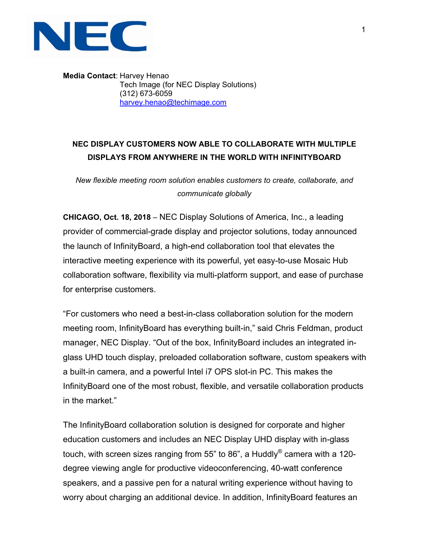

**Media Contact**: Harvey Henao Tech Image (for NEC Display Solutions) (312) 673-6059 harvey.henao@techimage.com

## **NEC DISPLAY CUSTOMERS NOW ABLE TO COLLABORATE WITH MULTIPLE DISPLAYS FROM ANYWHERE IN THE WORLD WITH INFINITYBOARD**

*New flexible meeting room solution enables customers to create, collaborate, and communicate globally* 

**CHICAGO, Oct. 18, 2018** – NEC Display Solutions of America, Inc., a leading provider of commercial-grade display and projector solutions, today announced the launch of InfinityBoard, a high-end collaboration tool that elevates the interactive meeting experience with its powerful, yet easy-to-use Mosaic Hub collaboration software, flexibility via multi-platform support, and ease of purchase for enterprise customers.

"For customers who need a best-in-class collaboration solution for the modern meeting room, InfinityBoard has everything built-in," said Chris Feldman, product manager, NEC Display. "Out of the box, InfinityBoard includes an integrated inglass UHD touch display, preloaded collaboration software, custom speakers with a built-in camera, and a powerful Intel i7 OPS slot-in PC. This makes the InfinityBoard one of the most robust, flexible, and versatile collaboration products in the market."

The InfinityBoard collaboration solution is designed for corporate and higher education customers and includes an NEC Display UHD display with in-glass touch, with screen sizes ranging from 55" to 86", a Huddly $^\circ$  camera with a 120degree viewing angle for productive videoconferencing, 40-watt conference speakers, and a passive pen for a natural writing experience without having to worry about charging an additional device. In addition, InfinityBoard features an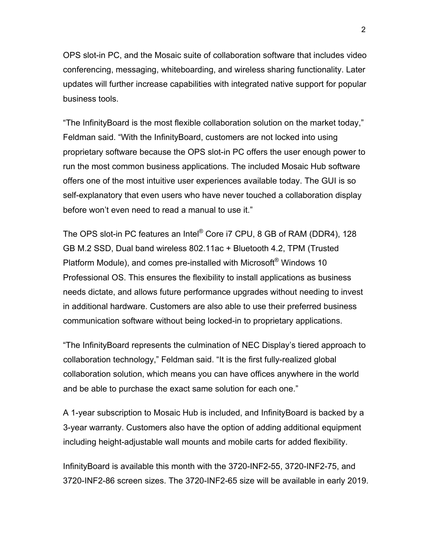OPS slot-in PC, and the Mosaic suite of collaboration software that includes video conferencing, messaging, whiteboarding, and wireless sharing functionality. Later updates will further increase capabilities with integrated native support for popular business tools.

"The InfinityBoard is the most flexible collaboration solution on the market today," Feldman said. "With the InfinityBoard, customers are not locked into using proprietary software because the OPS slot-in PC offers the user enough power to run the most common business applications. The included Mosaic Hub software offers one of the most intuitive user experiences available today. The GUI is so self-explanatory that even users who have never touched a collaboration display before won't even need to read a manual to use it."

The OPS slot-in PC features an Intel® Core i7 CPU, 8 GB of RAM (DDR4), 128 GB M.2 SSD, Dual band wireless 802.11ac + Bluetooth 4.2, TPM (Trusted Platform Module), and comes pre-installed with Microsoft<sup>®</sup> Windows 10 Professional OS. This ensures the flexibility to install applications as business needs dictate, and allows future performance upgrades without needing to invest in additional hardware. Customers are also able to use their preferred business communication software without being locked-in to proprietary applications.

"The InfinityBoard represents the culmination of NEC Display's tiered approach to collaboration technology," Feldman said. "It is the first fully-realized global collaboration solution, which means you can have offices anywhere in the world and be able to purchase the exact same solution for each one."

A 1-year subscription to Mosaic Hub is included, and InfinityBoard is backed by a 3-year warranty. Customers also have the option of adding additional equipment including height-adjustable wall mounts and mobile carts for added flexibility.

InfinityBoard is available this month with the 3720-INF2-55, 3720-INF2-75, and 3720-INF2-86 screen sizes. The 3720-INF2-65 size will be available in early 2019.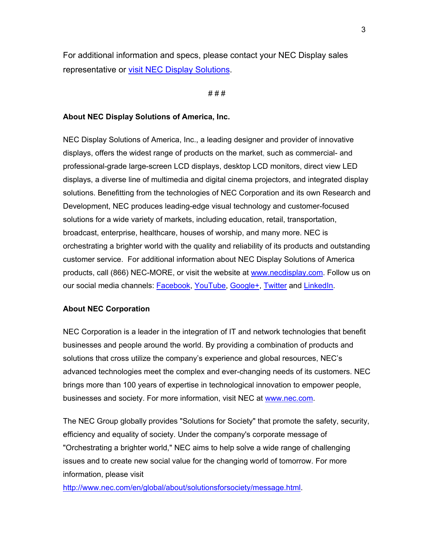For additional information and specs, please contact your NEC Display sales representative o[r visit NEC Display Solutions.](https://www.necdisplay.com)

# # #

## **About NEC Display Solutions of America, Inc.**

NEC Display Solutions of America, Inc., a leading designer and provider of innovative displays, offers the widest range of products on the market, such as commercial- and professional-grade large-screen LCD displays, desktop LCD monitors, direct view LED displays, a diverse line of multimedia and digital cinema projectors, and integrated display solutions. Benefitting from the technologies of NEC Corporation and its own Research and Development, NEC produces leading-edge visual technology and customer-focused solutions for a wide variety of markets, including education, retail, transportation, broadcast, enterprise, healthcare, houses of worship, and many more. NEC is orchestrating a brighter world with the quality and reliability of its products and outstanding customer service. For additional information about NEC Display Solutions of America products, call (866) NEC-MORE, or visit the website at www.necdisplay.com. Follow us on our social media channels: [Facebook,](http://www.facebook.com/necdisplay) [YouTube](http://www.youtube.com/necdisplay), [Google+](https://plus.google.com/+necdisplay), [Twitter](http://www.twitter.com/nec_display) and [LinkedIn.](https://www.linkedin.com/company/nec-display-solutions) 

## **About NEC Corporation**

NEC Corporation is a leader in the integration of IT and network technologies that benefit businesses and people around the world. By providing a combination of products and solutions that cross utilize the company's experience and global resources, NEC's advanced technologies meet the complex and ever-changing needs of its customers. NEC brings more than 100 years of expertise in technological innovation to empower people, businesses and society. For more information, visit NEC at www.nec.com.

The NEC Group globally provides "Solutions for Society" that promote the safety, security, efficiency and equality of society. Under the company's corporate message of "Orchestrating a brighter world," NEC aims to help solve a wide range of challenging issues and to create new social value for the changing world of tomorrow. For more information, please visit

http://www.nec.com/en/global/about/solutionsforsociety/message.html.